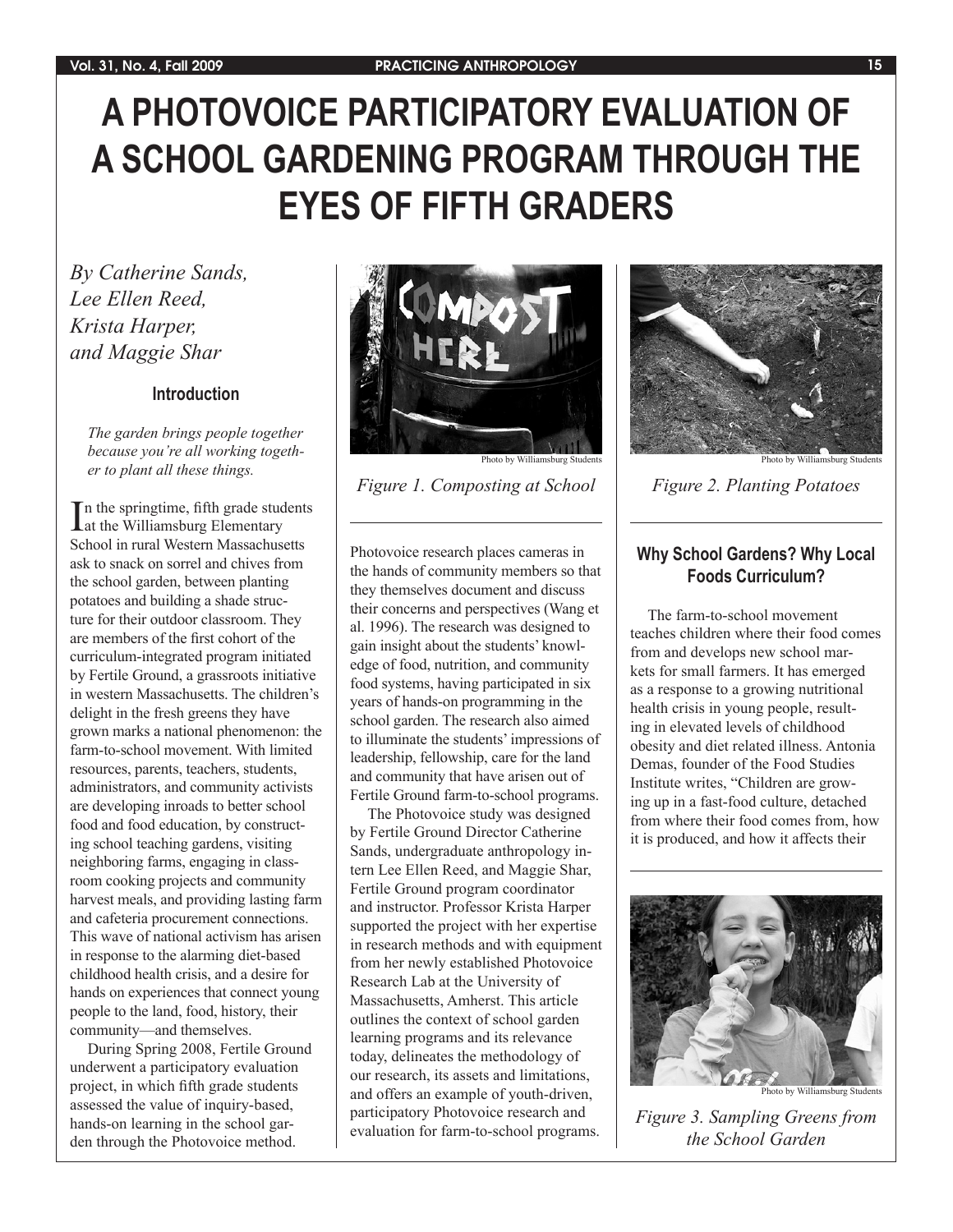# **A PHOTOVOICE PARTICIPATORY EVALUATION OF A SCHOOL GARDENING PROGRAM THROUGH THE EYES OF FIFTH GRADERS**

*By Catherine Sands, Lee Ellen Reed, Krista Harper, and Maggie Shar*

# **Introduction**

*The garden brings people together because you're all working together to plant all these things.*

In the springtime, fifth grade stude that the Williamsburg Elementary In the springtime, fifth grade students School in rural Western Massachusetts ask to snack on sorrel and chives from the school garden, between planting potatoes and building a shade struc ture for their outdoor classroom. They are members of the first cohort of the curriculum-integrated program initiated by Fertile Ground, a grassroots initiative in western Massachusetts. The children's delight in the fresh greens they have grown marks a national phenomenon: the farm-to-school movement. With limited resources, parents, teachers, students, administrators, and community activists are developing inroads to better school food and food education, by constructing school teaching gardens, visiting neighboring farms, engaging in class room cooking projects and community harvest meals, and providing lasting farm and cafeteria procurement connections. This wave of national activism has arisen in response to the alarming diet-based childhood health crisis, and a desire for hands on experiences that connect young people to the land, food, history, their community-and themselves.

During Spring 2008, Fertile Ground underwent a participatory evaluation project, in which fifth grade students assessed the value of inquiry-based, hands-on learning in the school garden through the Photovoice method.





Photovoice research places cameras in the hands of community members so that they themselves document and discuss their concerns and perspectives (Wang et al. 1996). The research was designed to gain insight about the students' knowledge of food, nutrition, and community food systems, having participated in six years of hands-on programming in the school garden. The research also aimed to illuminate the students'impressions of leadership, fellowship, care for the land and community that have arisen out of Fertile Ground farm-to-school programs.

The Photovoice study was designed by Fertile Ground Director Catherine Sands, undergraduate anthropology intern Lee Ellen Reed, and Maggie Shar, Fertile Ground program coordinator and instructor. Professor Krista Harper supported the project with her expertise in research methods and with equipment from her newly established Photovoice Research Lab at the University of Massachusetts, Amherst. This article outlines the context of school garden learning programs and its relevance today, delineates the methodology of our research, its assets and limitations, and offers an example of youth-driven, participatory Photovoice research and evaluation for farm-to-school programs.



## **Why School Gardens? Why Local Foods Curriculum?**

The farm-to-school movement teaches children where their food comes from and develops new school mar kets for small farmers. It has emerged as a response to a growing nutritional health crisis in young people, resulting in elevated levels of childhood obesity and diet related illness. Antonia Demas, founder of the Food Studies Institute writes, "Children are growing up in a fast-food culture, detached from where their food comes from, how it is produced, and how it affects their



*Figure 3. Sampling Greens from the School Garden*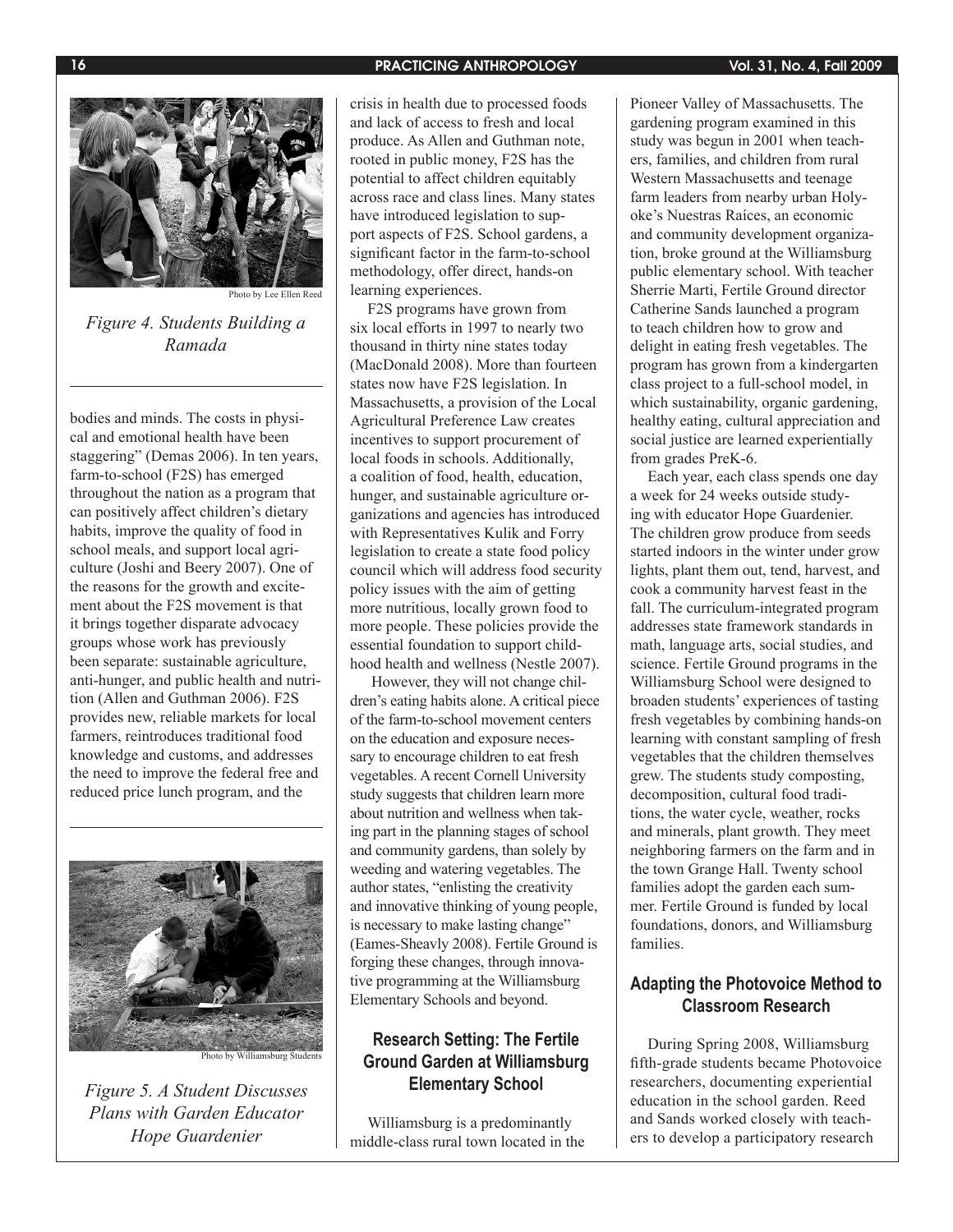

*Figure 4. Students Building a Ramada*

bodies and minds. The costs in physical and emotional health have been staggering" (Demas 2006). In ten years, farm-to-school (F2S) has emerged throughout the nation as a program that can positively affect children's dietary habits, improve the quality of food in school meals, and support local agriculture (Joshi and Beery 2007). One of the reasons for the growth and excitement about the F2S movement is that it brings together disparate advocacy groups whose work has previously been separate: sustainable agriculture, anti-hunger, and public health and nutrition (Allen and Guthman 2006). F2S provides new, reliable markets for local farmers, reintroduces traditional food knowledge and customs, and addresses the need to improve the federal free and reduced price lunch program, and the



Photo by Williamsburg Student

*Figure 5. A Student Discusses Plans with Garden Educator Hope Guardenier*

crisis in health due to processed foods and lack of access to fresh and local produce. As Allen and Guthman note. rooted in public money, F2S has the potential to affect children equitably across race and class lines. Many states have introduced legislation to sup port aspects of F2S. School gardens, a significant factor in the farm-to-school methodology, offer direct, hands-on learning experiences.

F2S programs have grown from six local efforts in 1997 to nearly two thousand in thirty nine states today (MacDonald 2008). More than fourteen states now have F2S legislation. In Massachusetts, a provision of the Local Agricultural Preference Law creates incentives to support procurement of local foods in schools. Additionally, a coalition of food, health, education, hunger, and sustainable agriculture organizations and agencies has introduced with Representatives Kulik and Forry legislation to create a state food policy council which will address food security policy issues with the aim of getting more nutritious, locally grown food to more people. These policies provide the essential foundation to support child hood health and wellness (Nestle 2007).

 However, they will not change children's eating habits alone. A critical piece of the farm-to-school movement centers on the education and exposure necessary to encourage children to eat fresh vegetables. A recent Cornell University study suggests that children learn more about nutrition and wellness when taking part in the planning stages of school and community gardens, than solely by weeding and watering vegetables. The author states, "enlisting the creativity and innovative thinking of young people, is necessary to make lasting change" (Eames-Sheavly 2008). Fertile Ground is forging these changes, through innovative programming at the Williamsburg  $\overline{E}$  Elementary Schools and beyond.

### **Research Setting: The Fertile Ground Garden at Williamsburg Elementary School**

Williamsburg is a predominantly middle-class rural town located in the

Pioneer Valley of Massachusetts. The gardening program examined in this study was begun in 2001 when teachers, families, and children from rural Western Massachusetts and teenage farm leaders from nearby urban Holyoke's Nuestras Raíces, an economic and community development organization, broke ground at the Williamsburg public elementary school. With teacher Sherrie Marti, Fertile Ground director Catherine Sands launched a program to teach children how to grow and delight in eating fresh vegetables. The program has grown from a kindergarten class project to a full-school model, in which sustainability, organic gardening, healthy eating, cultural appreciation and social justice are learned experientially from grades PreK-6.

Each year, each class spends one day a week for 24 weeks outside study ing with educator Hope Guardenier. The children grow produce from seeds started indoors in the winter under grow lights, plant them out, tend, harvest, and cook a community harvest feast in the fall. The curriculum-integrated program addresses state framework standards in math, language arts, social studies, and science. Fertile Ground programs in the Williamsburg School were designed to broaden students' experiences of tasting fresh vegetables by combining hands-on learning with constant sampling of fresh vegetables that the children themselves grew. The students study composting, decomposition, cultural food traditions, the water cycle, weather, rocks and minerals, plant growth. They meet neighboring farmers on the farm and in the town Grange Hall. Twenty school families adopt the garden each sum mer. Fertile Ground is funded by local foundations, donors, and Williamsburg families.

## **Adapting the Photovoice Method to Classroom Research**

During Spring 2008, Williamsburg fifth-grade students became Photovoice researchers, documenting experiential education in the school garden. Reed and Sands worked closely with teachers to develop a participatory research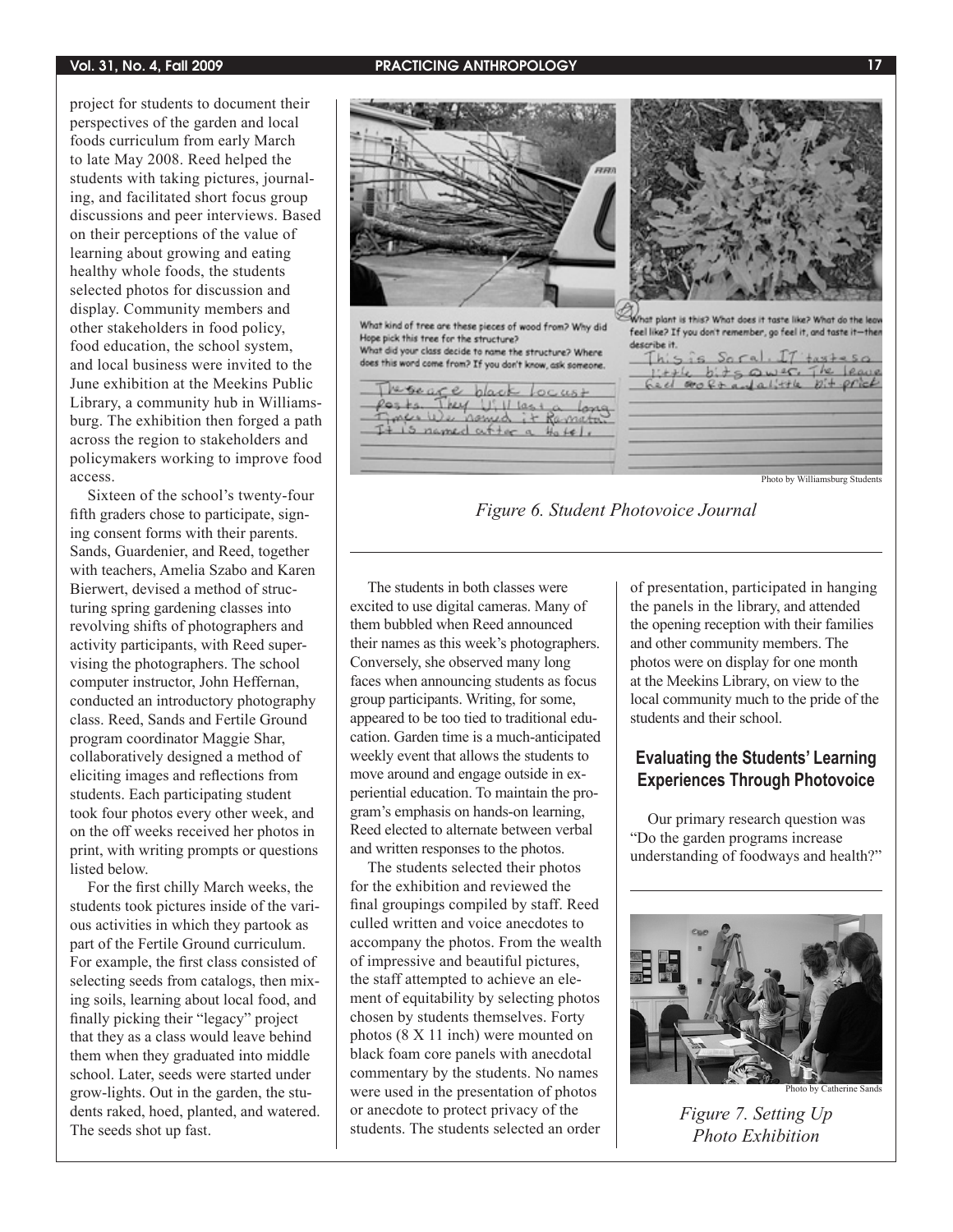project for students to document their perspectives of the garden and local foods curriculum from early March to late May 2008. Reed helped the students with taking pictures, journaling, and facilitated short focus group discussions and peer interviews. Based on their perceptions of the value of learning about growing and eating healthy whole foods, the students selected photos for discussion and display. Community members and other stakeholders in food policy, food education, the school system, and local business were invited to the June exhibition at the Meekins Public Library, a community hub in Williamsburg. The exhibition then forged a path across the region to stakeholders and policymakers working to improve food access.

Sixteen of the school's twenty-four fifth graders chose to participate, signing consent forms with their parents. Sands, Guardenier, and Reed, together with teachers, Amelia Szabo and Karen Bierwert, devised a method of structuring spring gardening classes into revolving shifts of photographers and activity participants, with Reed super vising the photographers. The school computer instructor, John Heffernan, conducted an introductory photography class. Reed, Sands and Fertile Ground program coordinator Maggie Shar, collaboratively designed a method of eliciting images and reflections from students. Each participating student took four photos every other week, and on the off weeks received her photos in print, with writing prompts or questions listed below.

For the first chilly March weeks, the students took pictures inside of the various activities in which they partook as part of the Fertile Ground curriculum. For example, the first class consisted of selecting seeds from catalogs, then mixing soils, learning about local food, and finally picking their "legacy" project that they as a class would leave behind them when they graduated into middle school. Later, seeds were started under grow-lights. Out in the garden, the students raked, hoed, planted, and watered. The seeds shot up fast.

#### Vol. 31, No. 4, Fall 2009 **PRACTICING ANTHROPOLOGY**



*Figure 6. Student Photovoice Journal*

The students in both classes were excited to use digital cameras. Many of them bubbled when Reed announced their names as this week's photographers. Conversely, she observed many long faces when announcing students as focus group participants. Writing, for some, appeared to be too tied to traditional education. Garden time is a much-anticipated weekly event that allows the students to move around and engage outside in ex periential education. To maintain the program's emphasis on hands-on learning, Reed elected to alternate between verbal and written responses to the photos.

The students selected their photos for the exhibition and reviewed the final groupings compiled by staff. Reed culled written and voice anecdotes to accompany the photos. From the wealth of impressive and beautiful pictures, the staff attempted to achieve an element of equitability by selecting photos chosen by students themselves. Forty photos (8 X 11 inch) were mounted on black foam core panels with anecdotal commentary by the students. No names were used in the presentation of photos or anecdote to protect privacy of the students. The students selected an order

of presentation, participated in hanging the panels in the library, and attended the opening reception with their families and other community members. The photos were on display for one month at the Meekins Library, on view to the local community much to the pride of the students and their school.

#### **Evaluating the Students' Learning Experiences Through Photovoice**

Our primary research question was "Do the garden programs increase understanding of foodways and health?"



*Figure 7. Setting Up Photo Exhibition*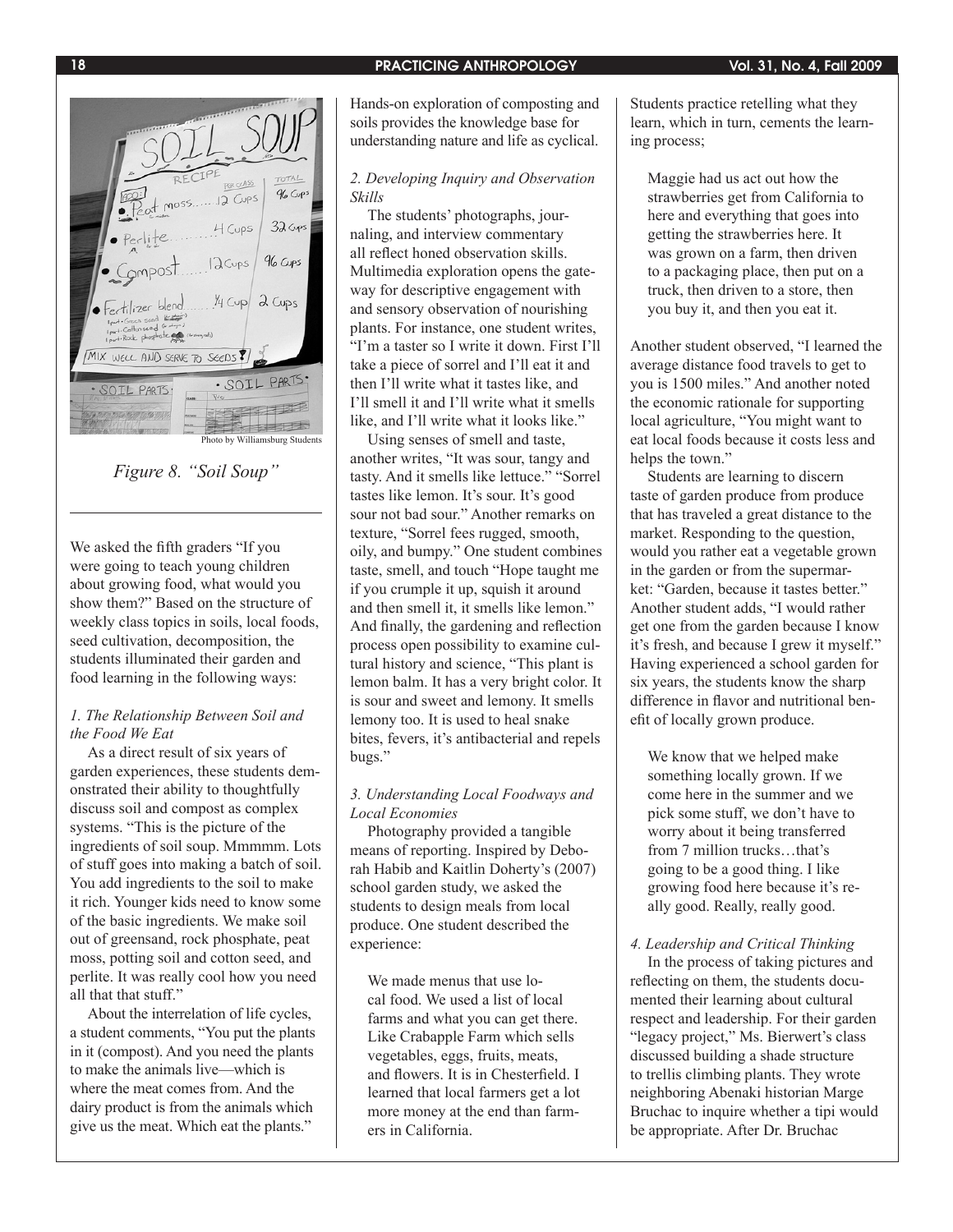

*Figure 8. "Soil Soup"*

We asked the fifth graders "If you were going to teach young children about growing food, what would you show them?" Based on the structure of weekly class topics in soils, local foods, seed cultivation, decomposition, the students illuminated their garden and food learning in the following ways:

#### *1. The Relationship Between Soil and the Food We Eat*

As a direct result of six years of garden experiences, these students demonstrated their ability to thoughtfully discuss soil and compost as complex systems. "This is the picture of the ingredients of soil soup. Mmmmm. Lots of stuff goes into making a batch of soil. You add ingredients to the soil to make it rich. Younger kids need to know some of the basic ingredients. We make soil out of greensand, rock phosphate, peat moss, potting soil and cotton seed, and perlite. It was really cool how you need all that that stuff."

About the interrelation of life cycles, a student comments, "You put the plants in it (compost). And you need the plants to make the animals live—which is where the meat comes from. And the dairy product is from the animals which give us the meat. Which eat the plants."

Hands-on exploration of composting and soils provides the knowledge base for understanding nature and life as cyclical.

#### 2. Developing Inquiry and Observation *Skills*

The students' photographs, journaling, and interview commentary all reflect honed observation skills. Multimedia exploration opens the gateway for descriptive engagement with and sensory observation of nourishing plants. For instance, one student writes, "I'm a taster so I write it down. First I'll take a piece of sorrel and I'll eat it and then I'll write what it tastes like, and I'll smell it and I'll write what it smells like, and I'll write what it looks like."

Using senses of smell and taste, another writes, "It was sour, tangy and tasty. And it smells like lettuce." "Sorrel tastes like lemon. It's sour. It's good sour not bad sour." Another remarks on texture, "Sorrel fees rugged, smooth, oily, and bumpy." One student combines taste, smell, and touch "Hope taught me if you crumple it up, squish it around and then smell it, it smells like lemon." And finally, the gardening and reflection process open possibility to examine cultural history and science, "This plant is lemon balm. It has a very bright color. It is sour and sweet and lemony. It smells lemony too. It is used to heal snake bites, fevers, it's antibacterial and repels bugs."

#### *3. Understanding Local Foodways and Local Economies*

Photography provided a tangible means of reporting. Inspired by Deborah Habib and Kaitlin Doherty's (2007) school garden study, we asked the students to design meals from local produce. One student described the experience:

We made menus that use local food. We used a list of local farms and what you can get there. Like Crabapple Farm which sells vegetables, eggs, fruits, meats, and flowers. It is in Chesterfield. I learned that local farmers get a lot more money at the end than farm ers in California.

Students practice retelling what they learn, which in turn, cements the learning process;

Maggie had us act out how the strawberries get from California to here and everything that goes into getting the strawberries here. It was grown on a farm, then driven to a packaging place, then put on a truck, then driven to a store, then you buy it, and then you eat it.

Another student observed, "I learned the average distance food travels to get to you is 1500 miles." And another noted the economic rationale for supporting local agriculture, "You might want to eat local foods because it costs less and helps the town."

Students are learning to discern taste of garden produce from produce that has traveled a great distance to the market. Responding to the question, would you rather eat a vegetable grown in the garden or from the supermar ket: "Garden, because it tastes better." Another student adds, "I would rather get one from the garden because I know it's fresh, and because I grew it myself." Having experienced a school garden for six years, the students know the sharp difference in flavor and nutritional benefit of locally grown produce.

We know that we helped make something locally grown. If we come here in the summer and we pick some stuff, we don't have to worry about it being transferred from 7 million trucks…that's going to be a good thing. I like growing food here because it's re ally good. Really, really good.

*4. Leadership and Critical Thinking* In the process of taking pictures and reflecting on them, the students documented their learning about cultural respect and leadership. For their garden "legacy project," Ms. Bierwert's class discussed building a shade structure to trellis climbing plants. They wrote neighboring Abenaki historian Marge Bruchac to inquire whether a tipi would be appropriate. After Dr. Bruchac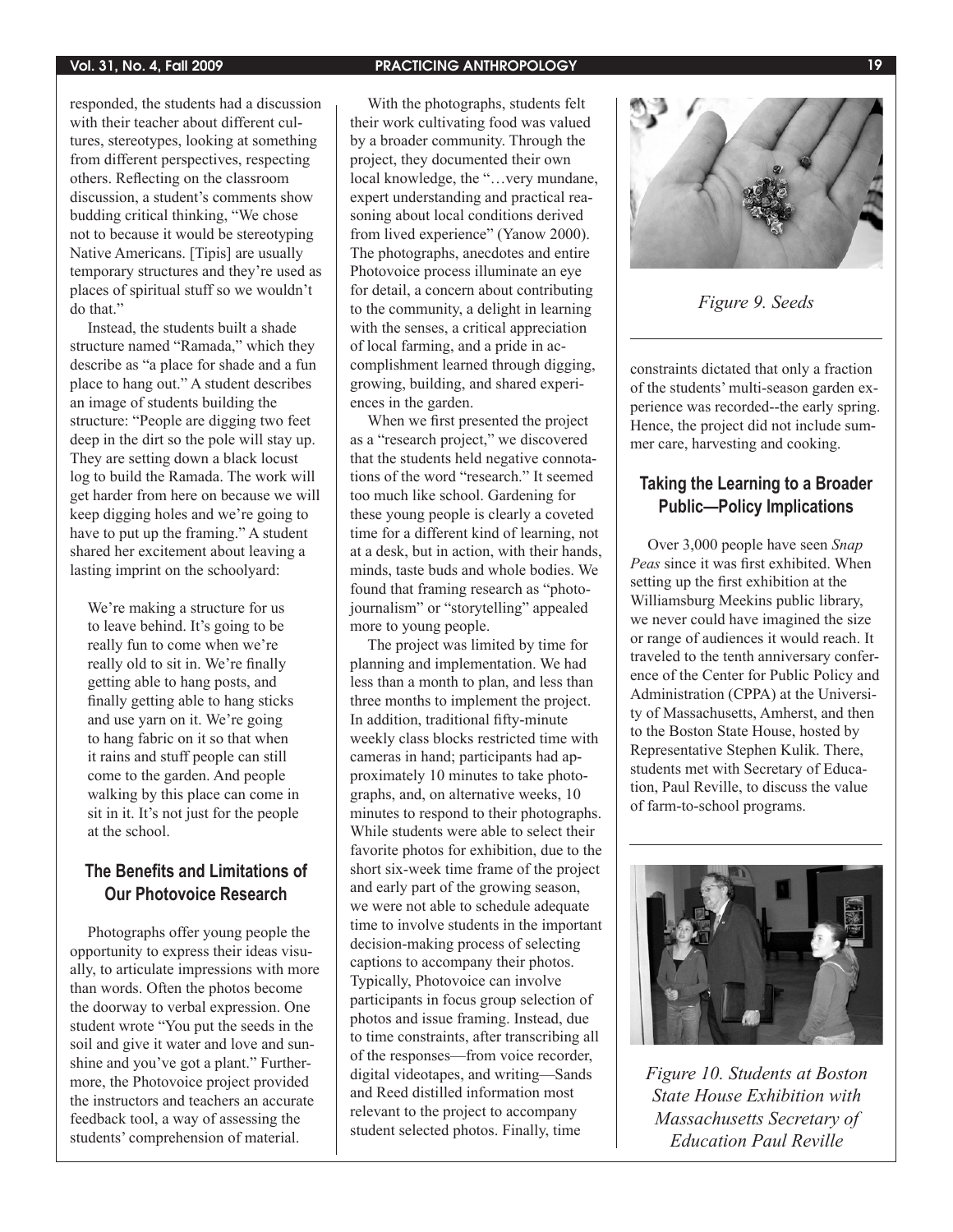#### Vol. 31, No. 4, Fall 2009 **PRACTICING ANTHROPOLOGY**

responded, the students had a discussion with their teacher about different cultures, stereotypes, looking at something from different perspectives, respecting others. Reflecting on the classroom discussion, a student's comments show budding critical thinking, "We chose not to because it would be stereotyping Native Americans. [Tipis] are usually temporary structures and they're used as places of spiritual stuff so we wouldn't do that."

Instead, the students built a shade structure named "Ramada," which they describe as "a place for shade and a fun place to hang out." A student describes an image of students building the structure: "People are digging two feet deep in the dirt so the pole will stay up. They are setting down a black locust log to build the Ramada. The work will get harder from here on because we will keep digging holes and we're going to have to put up the framing." A student shared her excitement about leaving a lasting imprint on the schoolyard:

We're making a structure for us to leave behind. It's going to be really fun to come when we're really old to sit in. We're finally getting able to hang posts, and finally getting able to hang sticks and use yarn on it. We're going to hang fabric on it so that when it rains and stuff people can still come to the garden. And people walking by this place can come in sit in it. It's not just for the people at the school.

### **The Benefits and Limitations of Our Photovoice Research**

Photographs offer young people the opportunity to express their ideas visually, to articulate impressions with more than words. Often the photos become the doorway to verbal expression. One student wrote "You put the seeds in the soil and give it water and love and sun shine and you've got a plant." Furthermore, the Photovoice project provided the instructors and teachers an accurate feedback tool, a way of assessing the students' comprehension of material.

With the photographs, students felt their work cultivating food was valued by a broader community. Through the project, they documented their own local knowledge, the "…very mundane, expert understanding and practical reasoning about local conditions derived from lived experience" (Yanow 2000). The photographs, anecdotes and entire Photovoice process illuminate an eye for detail, a concern about contributing to the community, a delight in learning with the senses, a critical appreciation of local farming, and a pride in accomplishment learned through digging, growing, building, and shared experi ences in the garden.

When we first presented the project as a "research project," we discovered that the students held negative connota tions of the word "research." It seemed too much like school. Gardening for these young people is clearly a coveted time for a different kind of learning, not at a desk, but in action, with their hands, minds, taste buds and whole bodies. We found that framing research as "photo journalism" or "storytelling" appealed more to young people.

The project was limited by time for planning and implementation. We had less than a month to plan, and less than three months to implement the project. In addition, traditional fifty-minute weekly class blocks restricted time with cameras in hand; participants had approximately 10 minutes to take photographs, and, on alternative weeks, 10 minutes to respond to their photographs. While students were able to select their favorite photos for exhibition, due to the short six-week time frame of the project and early part of the growing season, we were not able to schedule adequate time to involve students in the important decision-making process of selecting captions to accompany their photos. Typically, Photovoice can involve participants in focus group selection of photos and issue framing. Instead, due to time constraints, after transcribing all of the responses—from voice recorder, digital videotapes, and writing—Sands and Reed distilled information most relevant to the project to accompany student selected photos. Finally, time



*Figure 9. Seeds*

constraints dictated that only a fraction of the students' multi-season garden experience was recorded--the early spring. Hence, the project did not include summer care, harvesting and cooking.

#### **Taking the Learning to a Broader Public—Policy Implications**

 Over 3,000 people have seen *Snap Peas* since it was first exhibited. When setting up the first exhibition at the Williamsburg Meekins public library, we never could have imagined the size or range of audiences it would reach. It traveled to the tenth anniversary conference of the Center for Public Policy and Administration (CPPA) at the University of Massachusetts, Amherst, and then to the Boston State House, hosted by Representative Stephen Kulik. There, students met with Secretary of Education, Paul Reville, to discuss the value of farm-to-school programs.



*Figure 10. Students at Boston State House Exhibition with Massachusetts Secretary of Education Paul Reville*